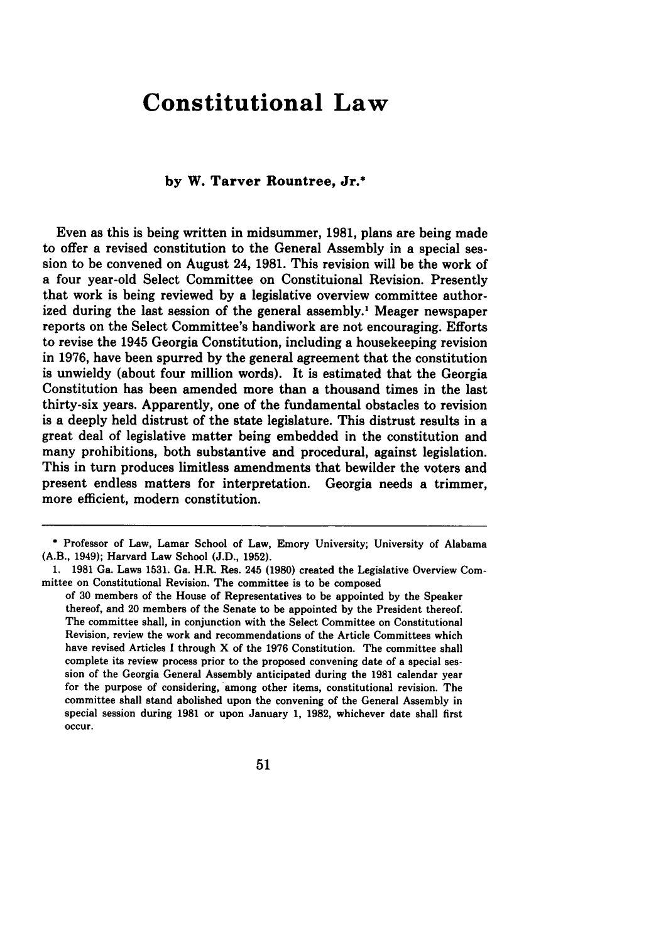# **Constitutional Law**

## **by W. Tarver Rountree, Jr.\***

Even as this is being written in midsummer, **1981,** plans are being made to offer a revised constitution to the General Assembly in a special session to be convened on August 24, **1981.** This revision will be the work of a four year-old Select Committee on Constituional Revision. Presently that work is being reviewed **by** a legislative overview committee authorized during the last session of the general assembly.<sup>1</sup> Meager newspaper reports on the Select Committee's handiwork are not encouraging. Efforts to revise the 1945 Georgia Constitution, including a housekeeping revision in **1976,** have been spurred **by** the general agreement that the constitution is unwieldy (about four million words). It is estimated that the Georgia Constitution has been amended more than a thousand times in the last thirty-six years. Apparently, one of the fundamental obstacles to revision is a deeply held distrust of the state legislature. This distrust results in a great deal of legislative matter being embedded in the constitution and many prohibitions, both substantive and procedural, against legislation. This in turn produces limitless amendments that bewilder the voters and present endless matters for interpretation. Georgia needs a trimmer, more efficient, modern constitution.

**<sup>\*</sup>** Professor of Law, Lamar School of Law, Emory University; University of Alabama (A.B., 1949); Harvard Law School **(J.D., 1952).**

**<sup>1. 1981</sup>** Ga. Laws **1531.** Ga. H.R. Res. 245 **(1980)** created the Legislative Overview Committee on Constitutional Revision. The committee is to be composed

of **30** members of the House of Representatives to be appointed **by** the Speaker thereof, and 20 members of the Senate to be appointed **by** the President thereof. The committee shall, in conjunction with the Select Committee on Constitutional Revision, review the work and recommendations of the Article Committees which have revised Articles **I** through X of the **1976** Constitution. The committee shall complete its review process prior to the proposed convening date of a special session of the Georgia General Assembly anticipated during the **1981** calendar year for the purpose of considering, among other items, constitutional revision. The committee shall stand abolished upon the convening of the General Assembly in special session during **1981** or upon January **1, 1982,** whichever date shall first occur.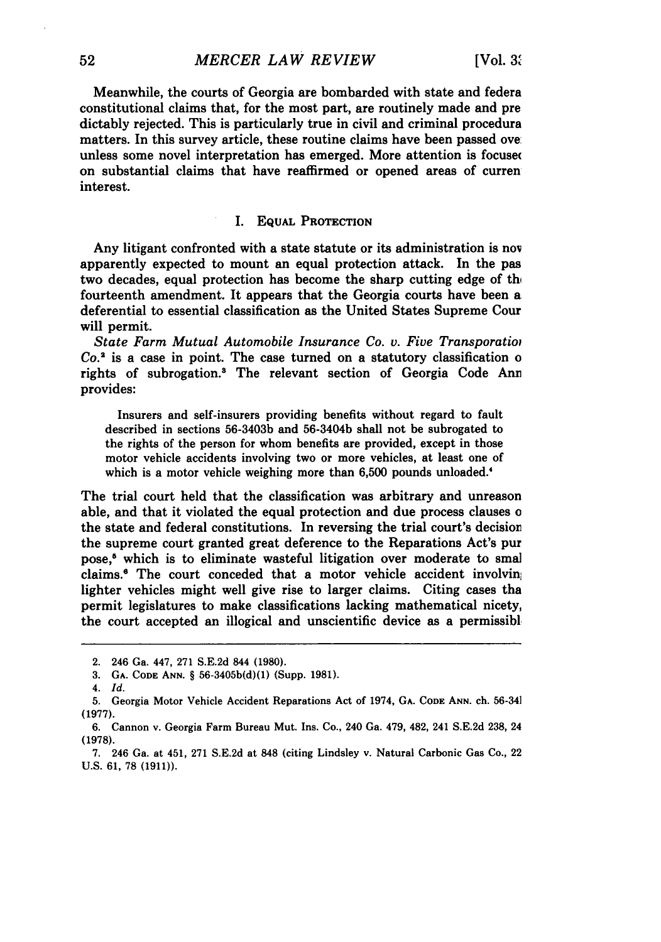Meanwhile, the courts of Georgia are bombarded with state and federa constitutional claims that, for the most part, are routinely made and pre dictably rejected. This is particularly true in civil and criminal procedura matters. In this survey article, these routine claims have been passed ove: unless some novel interpretation has emerged. More attention is focused on substantial claims that have reaffirmed or opened areas of curren interest.

### I. EQUAL PROTECTION

Any litigant confronted with a state statute or its administration is nov apparently expected to mount an equal protection attack. In the pas two decades, equal protection has become the sharp cutting edge of the fourteenth amendment. It appears that the Georgia courts have been a deferential to essential classification as the United States Supreme Cour will permit.

*State Farm Mutual Automobile Insurance Co. v. Five Transporatioi Co.2* is a case in point. The case turned on a statutory classification o rights of subrogation.<sup>3</sup> The relevant section of Georgia Code Ann provides:

Insurers and self-insurers providing benefits without regard to fault described in sections 56-3403b and 56-3404b shall not be subrogated to the rights of the person for whom benefits are provided, except in those motor vehicle accidents involving two or more vehicles, at least one of which is a motor vehicle weighing more than 6,500 pounds unloaded.<sup>4</sup>

The trial court held that the classification was arbitrary and unreason able, and that it violated the equal protection and due process clauses o the state and federal constitutions. In reversing the trial court's decisior the supreme court granted great deference to the Reparations Act's pur pose,<sup>6</sup> which is to eliminate wasteful litigation over moderate to smal claims.<sup>6</sup> The court conceded that a motor vehicle accident involving lighter vehicles might well give rise to larger claims. Citing cases tha permit legislatures to make classifications lacking mathematical nicety, the court accepted an illogical and unscientific device as a permissibl

<sup>2. 246</sup> Ga. 447, 271 S.E.2d 844 **(1980).**

<sup>3.</sup> **GA. CODE ANN.** § 56-3405b(d)(1) (Supp. 1981).

<sup>4.</sup> *Id.*

<sup>5.</sup> Georgia Motor Vehicle Accident Reparations Act of 1974, **GA. CODE ANN.** ch. 56-34 (1977).

<sup>6.</sup> Cannon v. Georgia Farm Bureau Mut. Ins. Co., 240 Ga. 479, 482, 241 S.E.2d 238, 24 (1978).

<sup>7. 246</sup> Ga. at 451, 271 S.E.2d at 848 (citing Lindsley v. Natural Carbonic Gas Co., 22 U.S. **61, 78 (1911)).**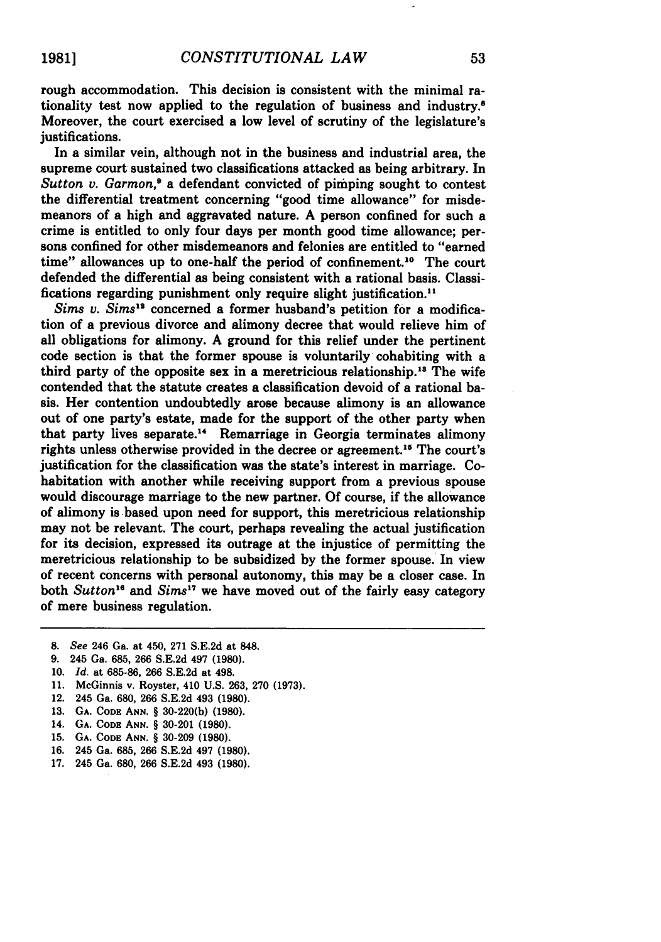rough accommodation. This decision is consistent with the minimal rationality test now applied to the regulation of business and industry.8 Moreover, the court exercised a low level of scrutiny of the legislature's justifications.

In a similar vein, although not in the business and industrial area, the supreme court sustained two classifications attacked as being arbitrary. In Sutton v. Garmon,<sup>9</sup> a defendant convicted of pimping sought to contest the differential treatment concerning "good time allowance" for misdemeanors of a high and aggravated nature. **A** person confined for such a crime is entitled to only four days per month good time allowance; persons confined for other misdemeanors and felonies are entitled to "earned time" allowances up to one-half the period of confinement.<sup>10</sup> The court defended the differential as being consistent with a rational basis. Classifications regarding punishment only require slight justification." *Sims v. Sims12* concerned a former husband's petition for a modifica-

tion of a previous divorce and alimony decree that would relieve him of all obligations for alimony. **A** ground for this relief under the pertinent code section is that the former spouse is voluntarily cohabiting with a third party of the opposite sex in a meretricious relationship." The wife contended that the statute creates a classification devoid of a rational basis. Her contention undoubtedly arose because alimony is an allowance out of one party's estate, made for the support of the other party when that party lives separate.<sup>14</sup> Remarriage in Georgia terminates alimony rights unless otherwise provided in the decree or agreement.<sup>15</sup> The court's justification for the classification was the state's interest in marriage. Cohabitation with another while receiving support from a previous spouse would discourage marriage to the new partner. **Of** course, if the allowance of alimony is based upon need for support, this meretricious relationship may not be relevant. The court, perhaps revealing the actual justification for its decision, expressed its outrage at the injustice of permitting the meretricious relationship to be subsidized **by** the former spouse. In view of recent concerns with personal autonomy, this may be a closer case. In both *Sutton*<sup>16</sup> and *Sims*<sup>17</sup> we have moved out of the fairly easy category of mere business regulation.

- **8.** *See* 246 Ga. at 450, **271 S.E.2d** at **848.**
- **9.** 245 Ga. **685, 266 S.E.2d** 497 **(1980).**
- **10.** *Id.* at **685-86, 266 S.E.2d** at 498.
- **11.** McGinnis v. Royster, 410 **U.S. 263, 270 (1973).**
- 12. 245 Ga. 680, **266 S.E.2d** 493 **(1980).**
- 13. **GA.** CODE **ANN.** § 30-220(b) (1980).
- 14. **GA.** CODE ANN. § 30-201 (1980).
- 15. **GA. CODE ANN.** § 30-209 (1980).
- **16.** 245 Ga. **685, 266** S.E.2d 497 (1980).
- **17.** 245 Ga. 680, **266** S.E.2d 493 (1980).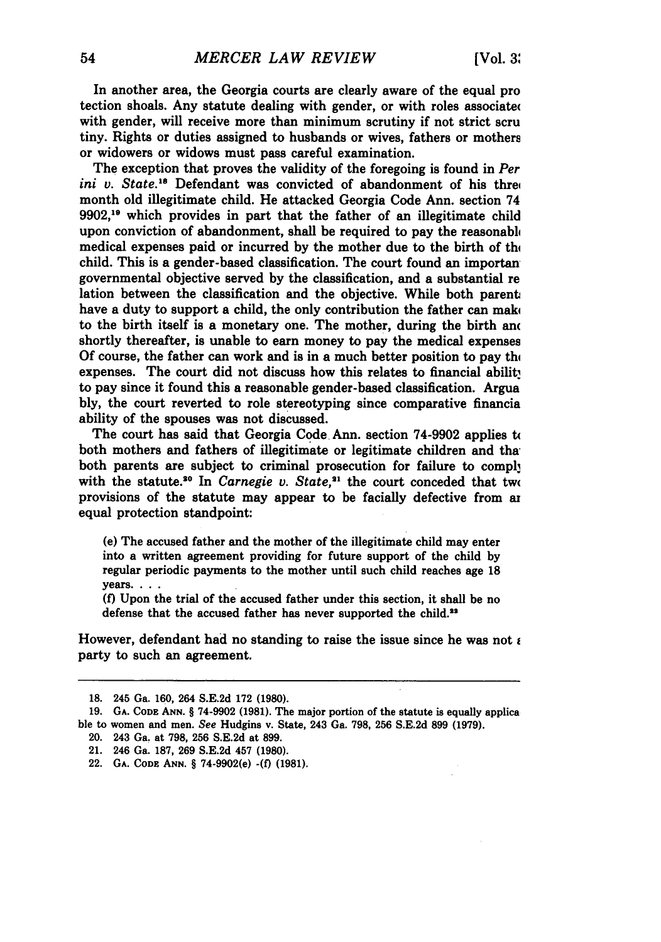In another area, the Georgia courts are clearly aware of the equal pro tection shoals. Any statute dealing with gender, or with roles associate( with gender, will receive more than minimum scrutiny if not strict scru tiny. Rights or duties assigned to husbands or wives, fathers or mothers or widowers or widows must pass careful examination.

The exception that proves the validity of the foregoing is found in *Per ini v. State.*<sup>18</sup> Defendant was convicted of abandonment of his three month old illegitimate child. He attacked Georgia Code Ann. section 74 **9902, <sup>9</sup>**which provides in part that the father of an illegitimate child upon conviction of abandonment, shall be required to pay the reasonabli medical expenses paid or incurred by the mother due to the birth of the child. This is a gender-based classification. The court found an importan governmental objective served **by** the classification, and a substantial re lation between the classification and the objective. While both parent, have a duty to support a child, the only contribution the father can mak to the birth itself is a monetary one. The mother, during the birth and shortly thereafter, is unable to earn money to pay the medical expenses Of course, the father can work and is in a much better position to pay the expenses. The court did not discuss how this relates to financial ability to pay since it found this a reasonable gender-based classification. Argua **bly,** the court reverted to role stereotyping since comparative financia ability of the spouses was not discussed.

The court has said that Georgia Code Ann. section **74-9902** applies t( both mothers and fathers of illegitimate or legitimate children and tha: both parents are subject to criminal prosecution for failure to comply with the statute.<sup>20</sup> In *Carnegie v. State*,<sup>21</sup> the court conceded that two provisions of the statute may appear to be facially defective from **az** equal protection standpoint:

(e) The accused father and the mother of the illegitimate child may enter into a written agreement providing for future support of the child **by** regular periodic payments to the mother until such child reaches age **18 years....**

**(f)** Upon the trial of the accused father under this section, it shall be no defense that the accused father has never supported the child.<sup>22</sup>

However, defendant had no standing to raise the issue since he was not  $\epsilon$ party to such an agreement.

**<sup>18.</sup>** 245 Ga. **160,** 264 **S.E.2d 172 (1980).**

**<sup>19.</sup> GA. CODE ANN.** § **74-9902 (1981).** The major portion of the statute is equally applica ble to women and men. See Hudgins v. State, 243 **Ga. 798, 256 S.E.2d 899 (1979).**

<sup>20. 243</sup> Ga. at **798, 256 S.E.2d** at **899.**

<sup>21. 246</sup> Ga. **187, 269 S.E.2d** 457 **(1980).**

<sup>22.</sup> **GA. CODE ANN.** § 74-9902(e) **-(f) (1981).**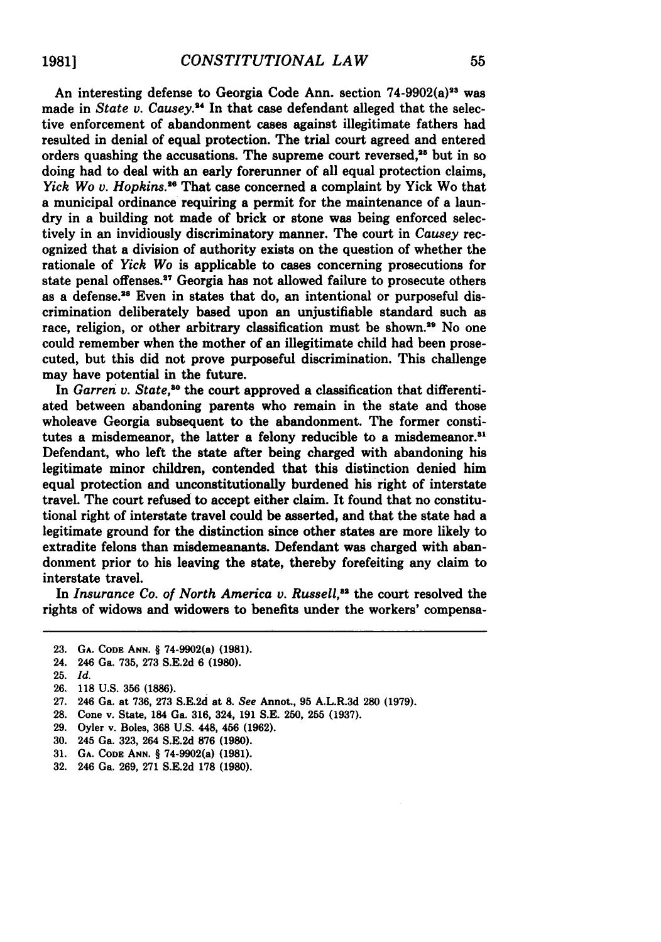An interesting defense to Georgia Code Ann. section 74-9902(a)<sup>23</sup> was made in *State v. Causey.*<sup>24</sup> In that case defendant alleged that the selective enforcement of abandonment cases against illegitimate fathers had resulted in denial of equal protection. The trial court agreed and entered orders quashing the accusations. The supreme court reversed,<sup>25</sup> but in so doing had to deal with an early forerunner of all equal protection claims, *Yick Wo v. Hopkins.*<sup>26</sup> That case concerned a complaint by Yick Wo that a municipal ordinance requiring a permit for the maintenance of a laundry in a building not made of brick or stone was being enforced selectively in an invidiously discriminatory manner. The court in *Causey* recognized that a division of authority exists on the question of whether the rationale of *Yick Wo* is applicable to cases concerning prosecutions for state penal offenses.<sup>27</sup> Georgia has not allowed failure to prosecute others as a defense.<sup>28</sup> Even in states that do, an intentional or purposeful discrimination deliberately based upon an unjustifiable standard such as race, religion, or other arbitrary classification must be shown.<sup>29</sup> No one could remember when the mother of an illegitimate child had been prosecuted, but this did not prove purposeful discrimination. This challenge may have potential in the future.

In *Garren v. State*,<sup>30</sup> the court approved a classification that differentiated between abandoning parents who remain in the state and those wholeave Georgia subsequent to the abandonment. The former constitutes a misdemeanor, the latter a felony reducible to a misdemeanor.<sup>31</sup> Defendant, who left the state after being charged with abandoning his legitimate minor children, contended that this distinction denied him equal protection and unconstitutionally burdened his right of interstate travel. The court refused to accept either claim. It found that no constitutional right of interstate travel could be asserted, and that the state had a legitimate ground for the distinction since other states are more likely to extradite felons than misdemeanants. Defendant was charged with abandonment prior to his leaving the state, thereby forefeiting any claim to interstate travel.

In *Insurance Co. of North America v. Russell*,<sup>32</sup> the court resolved the rights of widows and widowers to benefits under the workers' compensa-

- **23. GA. CODE ANN.** § 74-9902(a) **(1981).**
- 24. 246 Ga. **735, 273 S.E.2d 6 (1980).**
- **25.** *Id.*
- 26. 118 U.S. 356 (1886).
- 27. 246 Ga. at 736, 273 S.E.2d at 8. *See* Annot., **95** A.L.R.3d **280** (1979).
- **28.** Cone v. State, 184 Ga. 316, 324, **191** S.E. 250, 255 (1937).
- 29. Oyler v. Boles, **368** U.S. 448, 456 (1962).
- 30. 245 Ga. 323, 264 S.E.2d **876** (1980).
- **31. GA. CODE ANN.** § 74-9902(a) **(1981).**
- **32.** 246 Ga. **269, 271 S.E.2d 178 (1980).**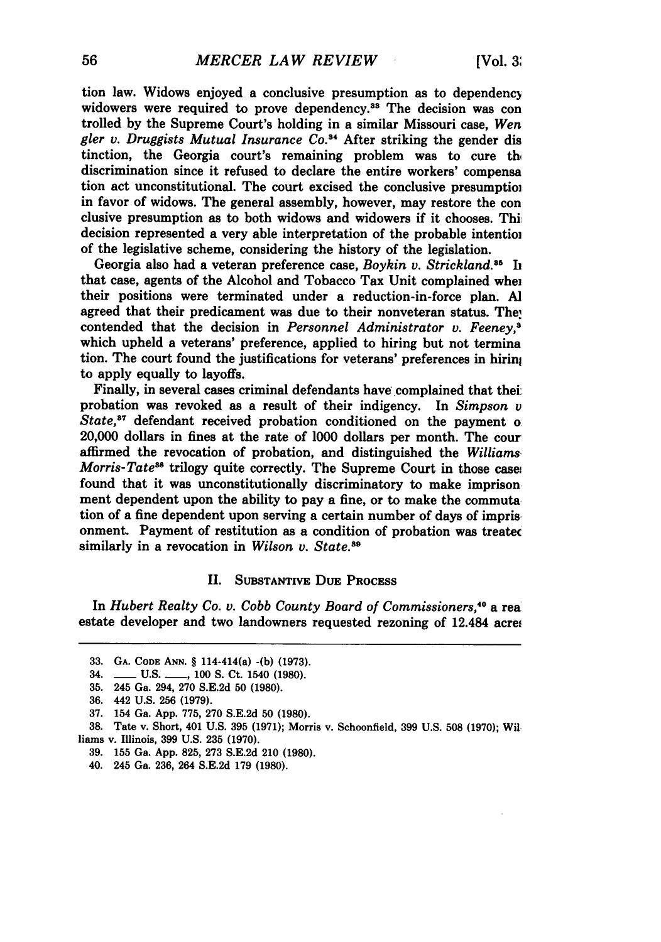tion law. Widows enjoyed a conclusive presumption as to dependenc) widowers were required to prove dependency.<sup>33</sup> The decision was con trolled **by** the Supreme Court's holding in a similar Missouri case, *Wen gler v. Druggists Mutual Insurance Co."* After striking the gender dis tinction, the Georgia court's remaining problem was to cure the discrimination since it refused to declare the entire workers' compensa tion act unconstitutional. The court excised the conclusive presumptioi in favor of widows. The general assembly, however, may restore the con clusive presumption as to both widows and widowers if it chooses. Thi decision represented a very able interpretation of the probable intentioi of the legislative scheme, considering the history of the legislation.

Georgia also had a veteran preference case, *Boykin v. Strickland.*<sup>35</sup> In that case, agents of the Alcohol and Tobacco Tax Unit complained whei their positions were terminated under a reduction-in-force plan. **Al** agreed that their predicament was due to their nonveteran status. The, contended that the decision in *Personnel Administrator* v. *Feeney,;* which upheld a veterans' preference, applied to hiring but not termina tion. The court found the justifications for veterans' preferences in hirin to apply equally to layoffs.

Finally, in several cases criminal defendants have complained that thei: probation was revoked as a result of their indigency. In *Simpson v State*,<sup>37</sup> defendant received probation conditioned on the payment of 20,000 dollars in fines at the rate of **1000** dollars per month. The cour affirmed the revocation of probation, and distinguished the *Williams Morris-Tate<sup>38</sup>* trilogy quite correctly. The Supreme Court in those case: found that it was unconstitutionally discriminatory to make imprison ment dependent upon the ability to pay a fine, or to make the commuta tion of a fine dependent upon serving a certain number of days of impris onment. Payment of restitution as a condition of probation was treatec similarly in a revocation in *Wilson v. State.'9*

#### II. SUBSTANTIVE DuE **PROCESS**

In *Hubert Realty Co. v. Cobb County Board of Commissioners*,<sup>40</sup> a rea estate developer and two landowners requested rezoning of 12.484 acrei

**<sup>33.</sup> GA. CODE ANN. §** 114-414(a) **-(b) (1973).**

<sup>34.</sup> **\_\_\_\_ U.S. \_\_\_, 100 S. Ct. 1540 (1980).** 

**<sup>35.</sup>** 245 Ga. 294, **270 S.E.2d 50 (1980).**

**<sup>36.</sup>** 442 **U.S. 256 (1979).**

**<sup>37.</sup>** 154 Ga. **App. 775, 270 S.E.2d 50 (1980).**

**<sup>38.</sup>** Tate v. Short, 401 **U.S. 395 (1971);** Morris v. Schoonfield, **399 U.S. 508 (1970);** Wil **liams** v. Illinois, **399 U.S. 235 (1970).**

**<sup>39. 155</sup>** Ga. **App. 825, 273 S.E.2d** 210 **(1980).**

<sup>40. 245</sup> Ga. **236,** 264 **S.E.2d 179 (1980).**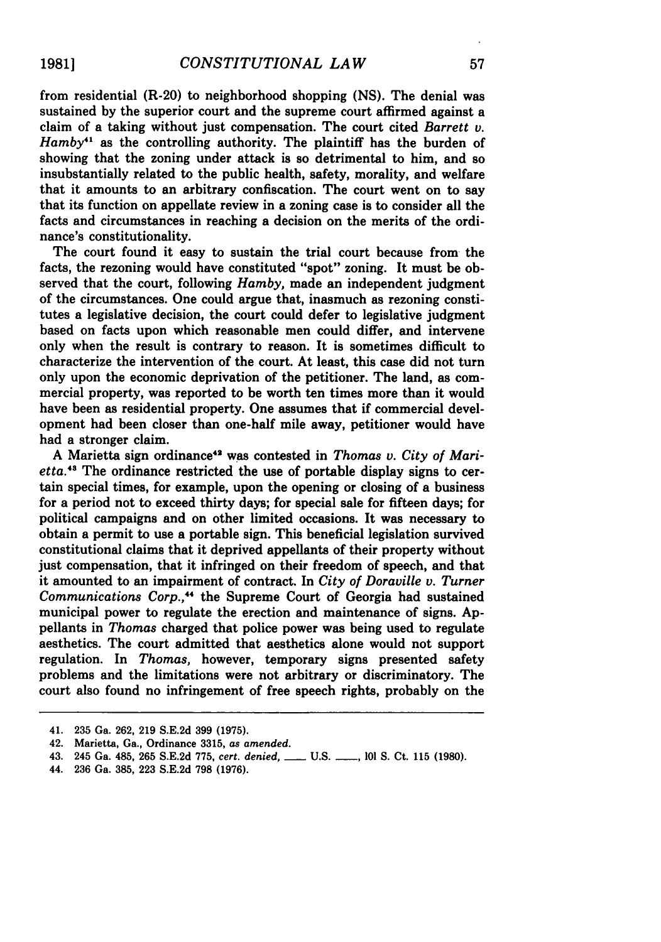from residential (R-20) to neighborhood shopping **(NS).** The denial was sustained **by** the superior court and the supreme court affirmed against a claim of a taking without just compensation. The court cited *Barrett v. Hamby*<sup>41</sup> as the controlling authority. The plaintiff has the burden of showing that the zoning under attack is so detrimental to him, and so insubstantially related to the public health, safety, morality, and welfare that it amounts to an arbitrary confiscation. The court went on to say that its function on appellate review in a zoning case is to consider all the facts and circumstances in reaching a decision on the merits of the ordinance's constitutionality.

The court found it easy to sustain the trial court because from the facts, the rezoning would have constituted "spot" zoning. It must be observed that the court, following *Hamby,* made an independent judgment of the circumstances. One could argue that, inasmuch as rezoning constitutes a legislative decision, the court could defer to legislative judgment based on facts upon which reasonable men could differ, and intervene only when the result is contrary to reason. It is sometimes difficult to characterize the intervention of the court. At least, this case did not turn only upon the economic deprivation of the petitioner. The land, as commercial property, was reported to be worth ten times more than it would have been as residential property. One assumes that if commercial development had been closer than one-half mile away, petitioner would have had a stronger claim.

**A** Marietta sign ordinance48 was contested in *Thomas v. City* of Marietta.43 The ordinance restricted the use of portable display signs to certain special times, for example, upon the opening or closing of a business for a period not to exceed thirty days; for special sale for fifteen days; for political campaigns and on other limited occasions. It was necessary to obtain a permit to use a portable sign. This beneficial legislation survived constitutional claims that it deprived appellants of their property without just compensation, that it infringed on their freedom of speech, and that it amounted to an impairment of contract. In *City of Doraville v. Turner Communications Corp.,"* the Supreme Court of Georgia had sustained municipal power to regulate the erection and maintenance of signs. **Ap**pellants in *Thomas* charged that police power was being used to regulate aesthetics. The court admitted that aesthetics alone would not support regulation. In *Thomas,* however, temporary signs presented safety problems and the limitations were not arbitrary or discriminatory. The court also found no infringement of free speech rights, probably on the

44. **236** Ga. **385, 223 S.E.2d 798 (1976).**

<sup>41.</sup> **235** Ga. **262, 219 S.E.2d 399 (1975).**

<sup>42.</sup> Marietta, Ga., Ordinance **3315,** *as amended.*

<sup>43. 245</sup> Ga. 485, **265 S.E.2d 775,** *cert. denied, \_\_* **U.S. -\_,** *101* **S.** Ct. **115 (1980).**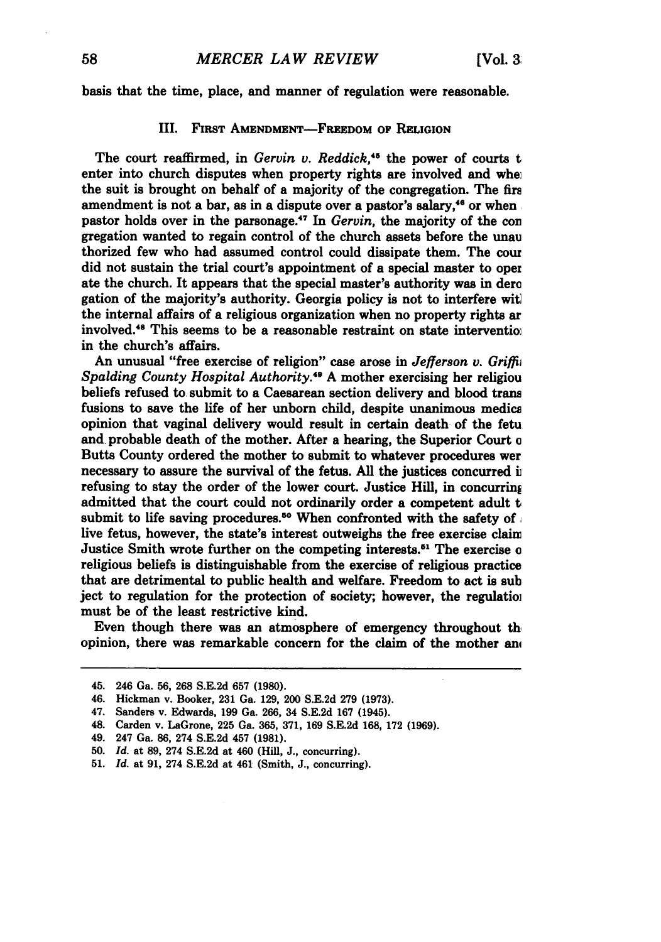basis that the time, place, and manner of regulation were reasonable.

#### III. FIRST AMENDMENT-FREEDOM OF RELIGION

The court reaffirmed, in *Gervin v. Reddick*,<sup>45</sup> the power of courts t enter into church disputes when property rights are involved and when the suit is brought on behalf of a majority of the congregation. The firs amendment is not a bar, as in a dispute over a pastor's salary,<sup>46</sup> or when pastor holds over in the parsonage. 47 In *Gervin,* the majority of the **con** gregation wanted to regain control of the church assets before the unau thorized few who had assumed control could dissipate them. The cou did not sustain the trial court's appointment of a special master to oper ate the church. It appears that the special master's authority was in dere gation of the majority's authority. Georgia policy is not to interfere wit the internal affairs of a religious organization when no property rights ar involved.<sup>48</sup> This seems to be a reasonable restraint on state intervention in the church's affairs.

An unusual "free exercise of religion" case arose in *Jefferson v. Griffii Spalding County Hospital Authority.49* **A** mother exercising her religiou beliefs refused to. submit to a Caesarean section delivery and blood trans fusions to save the life of her unborn child, despite unanimous medics opinion that vaginal delivery would result in certain death of the fetu and probable death of the mother. After a hearing, the Superior Court **o** Butts County ordered the mother to submit to whatever procedures wer necessary to assure the survival of the fetus. **All** the justices concurred i refusing to stay the order of the lower court. Justice Hill, in concurring admitted that the court could not ordinarily order a competent adult **t** submit to life saving procedures.<sup>50</sup> When confronted with the safety of. live fetus, however, the state's interest outweighs the free exercise claim Justice Smith wrote further on the competing interests.5 1 The exercise **o** religious beliefs is distinguishable from the exercise of religious practice that are detrimental to public health and welfare. Freedom to act is sub ject to regulation for the protection of society; however, the regulatioi must be of the least restrictive kind.

Even though there was an atmosphere of emergency throughout th opinion, there was remarkable concern for the claim of the mother **an,**

<sup>45. 246</sup> Ga. **56, 268 S.E.2d 657 (1980).**

<sup>46.</sup> Hickman v. Booker, **231** Ga. **129,** 200 **S.E.2d 279 (1973).**

<sup>47.</sup> Sanders v. Edwards, **199** Ga. **266,** 34 **S.E.2d 167** (1945).

<sup>48.</sup> Carden v. LaGrone, **225** Ga. **365, 371, 169 S.E.2d 168, 172 (1969).**

<sup>49. 247</sup> Ga. **86,** 274 **S.E.2d** 457 **(1981).**

**<sup>50.</sup>** *Id.* at **89,** 274 **S.E.2d** at 460 (Hill, **J.,** concurring).

**<sup>51.</sup>** *Id.* at **91,** 274 **S.E.2d** at 461 (Smith, **J.,** concurring).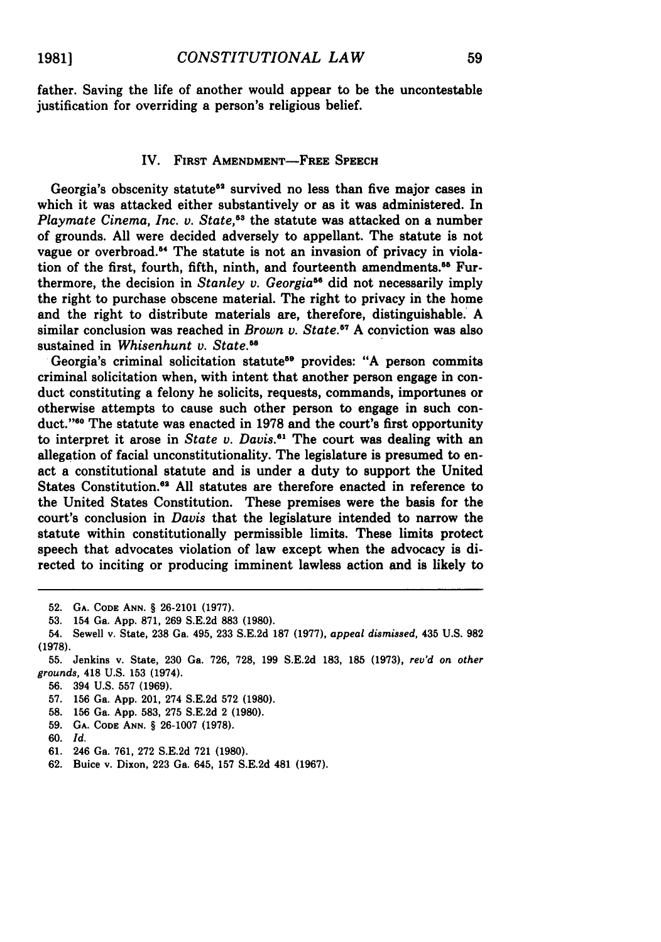father. Saving the life of another would appear to be the uncontestable justification for overriding a person's religious belief.

## IV. FIRST **AMENDMENT-FREE SPEECH**

Georgia's obscenity statute<sup>52</sup> survived no less than five major cases in which it was attacked either substantively or as it was administered. In *Playmate Cinema, Inc. v. State,53* the statute was attacked on a number of grounds. All were decided adversely to appellant. The statute is not vague or overbroad.<sup>54</sup> The statute is not an invasion of privacy in violation of the first, fourth, fifth, ninth, and fourteenth amendments.<sup>85</sup> Furthermore, the decision in *Stanley v. Georgia*<sup>56</sup> did not necessarily imply the right to purchase obscene material. The right to privacy in the home and the right to distribute materials are, therefore, distinguishable. A similar conclusion was reached in *Brown v. State.57* A conviction was also sustained in *Whisenhunt v. State."*

Georgia's criminal solicitation statute<sup>59</sup> provides: "A person commits criminal solicitation when, with intent that another person engage in conduct constituting a felony he solicits, requests, commands, importunes or otherwise attempts to cause such other person to engage in such conduct."<sup>80</sup> The statute was enacted in 1978 and the court's first opportunity to interpret it arose in *State v. Davis."* The court was dealing with an allegation of facial unconstitutionality. The legislature is presumed to enact a constitutional statute and is under a duty to support the United States Constitution.<sup>62</sup> All statutes are therefore enacted in reference to the United States Constitution. These premises were the basis for the court's conclusion in *Davis* that the legislature intended to narrow the statute within constitutionally permissible limits. These limits protect speech that advocates violation of law except when the advocacy is directed to inciting or producing imminent lawless action and is likely to

- **58. 156** Ga. **App. 583, 275 S.E.2d** 2 **(1980).**
- **59. GA. CODE ANN.** § 26-1007 **(1978).**
- **60.** *Id.*
- **61. 246** Ga. **761, 272 S.E.2d 721 (1980).**
- **62.** Buice v. Dixon, **223** Ga. 645, **157 S.E.2d** 481 **(1967).**

**<sup>52.</sup> GA. CODE ANN.** § **26-2101 (1977).**

**<sup>53.</sup>** 154 Ga. **App. 871, 269 S.E.2d 883 (1980).**

<sup>54.</sup> Sewell v. State, **238** Ga. 495, **233 S.E.2d 187 (1977),** *appeal dismissed,* 435 **U.S. 982 (1978).**

**<sup>55.</sup>** Jenkins v. State, **230** Ga. **726, 728, 199 S.E.2d 183, 185 (1973),** *rev'd on other grounds,* 418 **U.S. 153** (1974).

**<sup>56.</sup>** 394 **U.S. 557 (1969).**

**<sup>57. 156</sup>** Ga. **App.** 201, 274 **S.E.2d 572 (1980).**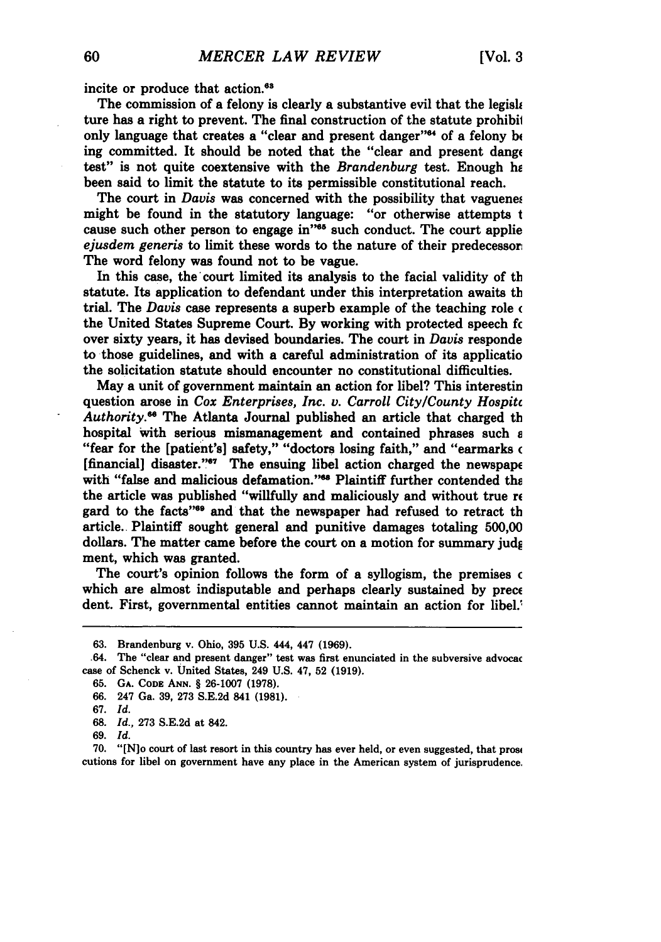incite or produce that action.<sup>63</sup>

The commission of a felony is clearly a substantive evil that the legisle ture has a right to prevent. The final construction of the statute prohibil only language that creates a "clear and present danger"<sup>44</sup> of a felony be ing committed. It should be noted that the "clear and present dange test" is not quite coextensive with the *Brandenburg* test. Enough he been said to limit the statute to its permissible constitutional reach.

The court in *Davis* was concerned with the possibility that vaguenes might be found in the statutory language: "or otherwise attempts t cause such other person to engage in"<sup>65</sup> such conduct. The court applie *ejusdem generis* to limit these words to the nature of their predecessor: The word felony was found not to be vague.

In this case, the'court limited its analysis to the facial validity of **tb** statute. Its application to defendant under this interpretation awaits **tb** trial. The *Davis* case represents a superb example of the teaching role **(** the United States Supreme Court. **By** working with protected speech fc over sixty years, it has devised boundaries. The court in *Davis* responde to those guidelines, and with a careful administration of its applicatio the solicitation statute should encounter no constitutional difficulties.

May a unit of government maintain an action for libel? This interestin question arose in *Cox Enterprises, Inc. v. Carroll City/County Hospitc* Authority.<sup>66</sup> The Atlanta Journal published an article that charged th hospital with serious mismanagement and contained phrases such s "fear for the [patient's] safety," "doctors losing faith," and "earmarks **(** [financial] disaster." $\sigma$  The ensuing libel action charged the newspape with "false and malicious defamation."<sup>68</sup> Plaintiff further contended the the article was published "willfully and maliciously and without true re gard to the facts"<sup>98</sup> and that the newspaper had refused to retract th article.. Plaintiff sought general and punitive damages totaling **500,00** dollars. The matter came before the court on a motion for summary **judg** ment, which was granted.

The court's opinion follows the form of a syllogism, the premises c which are almost indisputable and perhaps clearly sustained by prece dent. First, governmental entities cannot maintain an action for libel.'

**70.** "[N]o court of last resort in this country has ever held, or even suggested, that pros4 cutions for libel on government have any place in the American system of jurisprudence.

**<sup>63.</sup>** Brandenburg v. Ohio, **395 U.S.** 444, 447 **(1969).**

<sup>.64.</sup> The "clear and present danger" test was first enunciated in the subversive advocac case of Schenck v. United States, 249 **U.S.** 47, 52 **(1919).**

**<sup>65.</sup> GA. CODE ANN.** § **26-1007 (1978).**

**<sup>66.</sup>** 247 Ga. **39, 273 S.E.2d** 841 **(1981).**

**<sup>67.</sup>** *Id.*

**<sup>68.</sup>** *Id.,* **273 S.E.2d** at 842.

**<sup>69.</sup>** *Id.*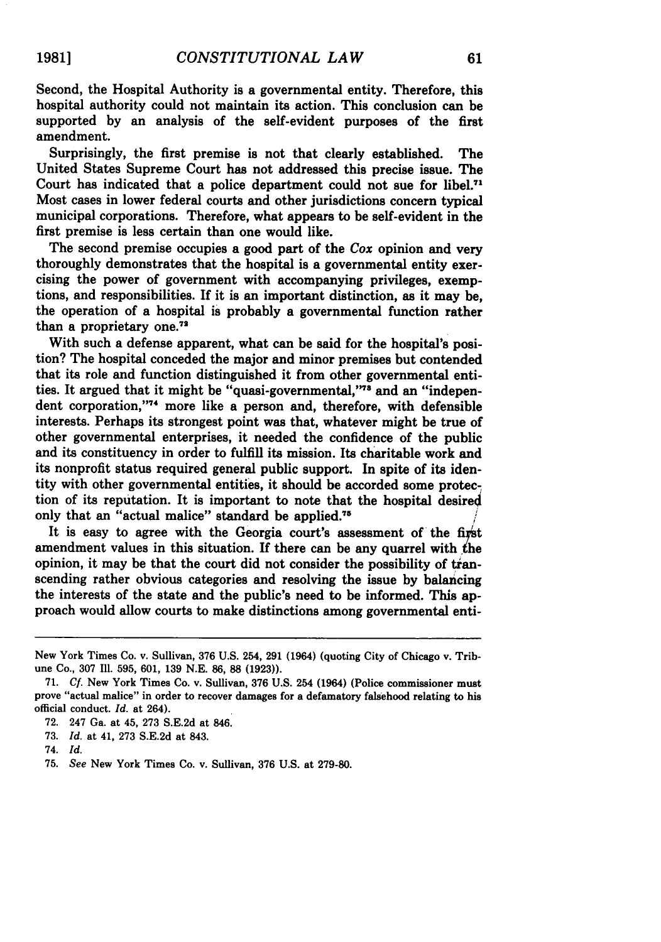Second, the Hospital Authority is a governmental entity. Therefore, this hospital authority could not maintain its action. This conclusion can be supported **by** an analysis of the self-evident purposes of the first amendment.

Surprisingly, the first premise is not that clearly established. The United States Supreme Court has not addressed this precise issue. The Court has indicated that a police department could not sue for libel.<sup>71</sup> Most cases in lower federal courts and other jurisdictions concern typical municipal corporations. Therefore, what appears to be self-evident in the first premise is less certain than one would like.

The second premise occupies a good part of the *Cox* opinion and very thoroughly demonstrates that the hospital is a governmental entity exercising the power of government with accompanying privileges, exemptions, and responsibilities. If it is an important distinction, as it may be, the operation of a hospital is probably a governmental function rather than a proprietary **one.7 <sup>2</sup>**

With such a defense apparent, what can be said for the hospital's position? The hospital conceded the major and minor premises but contended that its role and function distinguished it from other governmental entities. It argued that it might be "quasi-governmental,"<sup>78</sup> and an "independent corporation,"74 more like a person and, therefore, with defensible interests. Perhaps its strongest point was that, whatever might be true of other governmental enterprises, it needed the confidence of the public and its constituency in order to fulfill its mission. Its charitable work and its nonprofit status required general public support. In spite of its identity with other governmental entities, it should be accorded some protection of its reputation. It is important to note that the hospital desire4 only that an "actual malice" standard be applied.<sup>75</sup>

It is easy to agree with the Georgia court's assessment of the first amendment values in this situation. If there can be any quarrel with the opinion, it may be that the court did not consider the possibility of tianscending rather obvious categories and resolving the issue **by** balancing the interests of the state and the public's need to be informed. This approach would allow courts to make distinctions among governmental enti-

**19811**

New York Times Co. v. Sullivan, **376 U.S.** 254, **291** (1964) (quoting City of Chicago v. Tribune Co., **307** Ill. **595, 601, 139 N.E. 86, 88 (1923)).**

**<sup>71.</sup>** *Cf.* New York Times Co. v. Sullivan, **376 U.S.** 254 (1964) (Police commissioner must prove "actual malice" in order to recover damages for a defamatory falsehood relating to his official conduct. *Id.* at 264).

**<sup>72.</sup>** 247 Ga. at 45, **273 S.E.2d** at 846.

**<sup>73.</sup>** *Id.* at 41, **273 S.E.2d** at 843.

<sup>74.</sup> *Id.*

**<sup>75.</sup>** *See* New York Times Co. v. Sullivan, **376 U.S.** at **279-80.**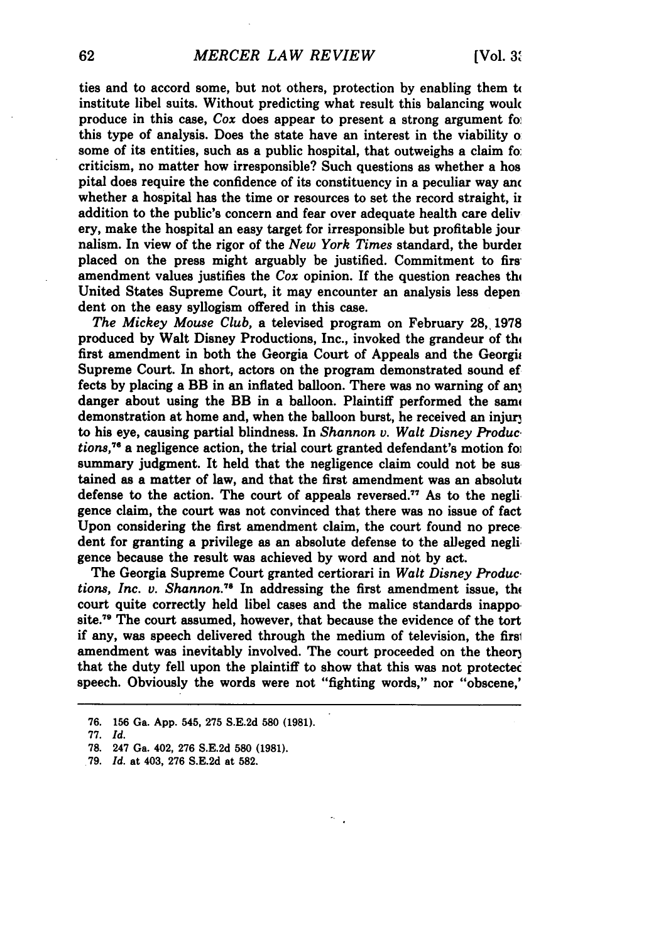ties and to accord some, but not others, protection **by** enabling them t( institute libel suits. Without predicting what result this balancing woulc produce in this case, *Cox* does appear to present a strong argument fo this type of analysis. Does the state have an interest in the viability o some of its entities, such as a public hospital, that outweighs a claim fo: criticism, no matter how irresponsible? Such questions as whether a hos pital does require the confidence of its constituency in a peculiar way anc whether a hospital has the time or resources to set the record straight, in addition to the public's concern and fear over adequate health care deliv ery, make the hospital an easy target for irresponsible but profitable jour nalism. In view of the rigor of the *New York Times* standard, the burdex placed on the press might arguably be justified. Commitment to first amendment values justifies the  $Cox$  opinion. If the question reaches the United States Supreme Court, it may encounter an analysis less depen dent on the easy syllogism offered in this case.

*The Mickey Mouse Club,* a televised program on February **28,, 1978** produced **by** Walt Disney Productions, Inc., invoked the grandeur of thi first amendment in both the Georgia Court of Appeals and the Georgia Supreme Court. In short, actors on the program demonstrated sound ef fects **by** placing a BB in an inflated balloon. There was no warning of an danger about using the BB in a balloon. Plaintiff performed the same demonstration at home and, when the balloon burst, he received an injur to his eye, causing partial blindness. In Shannon v. Walt Disney Produc. *tions,* **<sup>7</sup> <sup>6</sup>**a negligence action, the trial court granted defendant's motion foi summary judgment. It held that the negligence claim could not be sustained as a matter of law, and that the first amendment was an absolute defense to the action. The court of appeals reversed.<sup>77</sup> As to the negligence claim, the court was not convinced that there was no issue of fact Upon considering the first amendment claim, the court found no prece. dent for granting a privilege as an absolute defense to the alleged negli. gence because the result was achieved **by** word and not **by** act.

The Georgia Supreme Court granted certiorari in *Walt Disney Produc. tions, Inc. v. Shannon.*<sup>78</sup> In addressing the first amendment issue, the court quite correctly held libel cases and the malice standards inappo. site.<sup>79</sup> The court assumed, however, that because the evidence of the tort if any, was speech delivered through the medium of television, the firsi amendment was inevitably involved. The court proceeded on the theory that the duty fell upon the plaintiff to show that this was not protectec speech. Obviously the words were not "fighting words," nor "obscene,'

**77.** *Id.*

**<sup>76. 156</sup>** Ga. **App.** 545, **275 S.E.2d 580 (1981).**

**<sup>78.</sup>** 247 Ga. 402, **276 S.E.2d 580 (1981).**

**<sup>79.</sup>** *Id.* at 403, **276 S.E.2d** at **582.**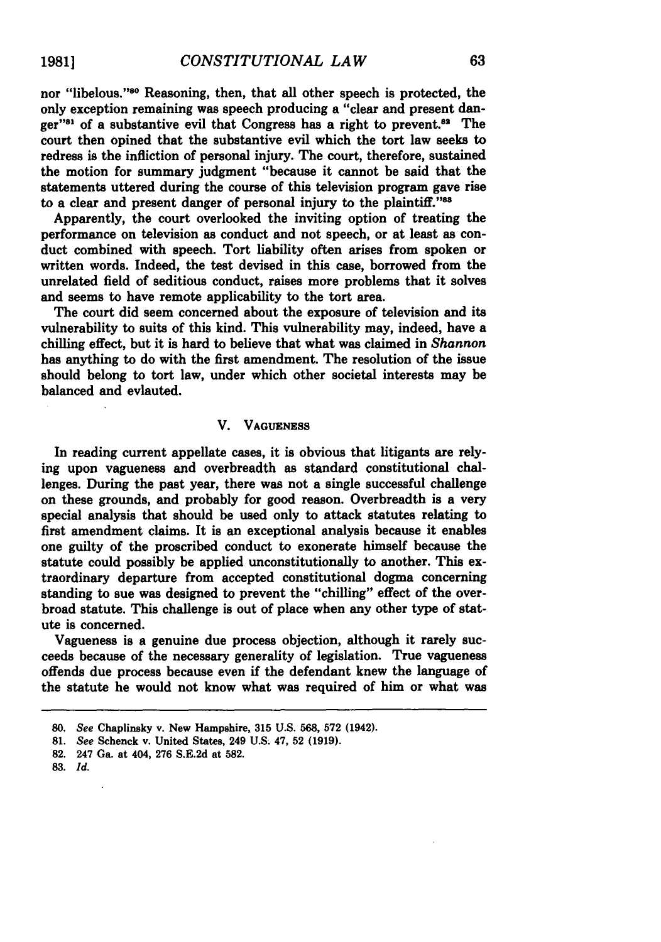nor "libelous."<sup>80</sup> Reasoning, then, that all other speech is protected, the only exception remaining was speech producing a "clear and present danger"<sup>31</sup> of a substantive evil that Congress has a right to prevent.<sup>82</sup> The court then opined that the substantive evil which the tort law seeks to redress is the infliction of personal injury. The court, therefore, sustained the motion for summary judgment "because it cannot be said that the statements uttered during the course of this television program gave rise to a clear and present danger of personal injury to the plaintiff."<sup>88</sup>

Apparently, the court overlooked the inviting option of treating the performance on television as conduct and not speech, or at least as conduct combined with speech. Tort liability often arises from spoken or written words. Indeed, the test devised in this case, borrowed from the unrelated field of seditious conduct, raises more problems that it solves and seems to have remote applicability to the tort area.

The court did seem concerned about the exposure of television and its vulnerability to suits of this kind. This vulnerability may, indeed, have a chilling effect, but it is hard to believe that what was claimed in *Shannon* has anything to do with the first amendment. The resolution of the issue should belong to tort law, under which other societal interests may be balanced and evlauted.

#### V. **VAGUENESS**

In reading current appellate cases, it is obvious that litigants are relying upon vagueness and overbreadth as standard constitutional challenges. During the past year, there was not a single successful challenge on these grounds, and probably for good reason. Overbreadth is a very special analysis that should be used only to attack statutes relating to first amendment claims. It is an exceptional analysis because it enables one guilty of the proscribed conduct to exonerate himself because the statute could possibly be applied unconstitutionally to another. This extraordinary departure from accepted constitutional dogma concerning standing to sue was designed to prevent the "chilling" effect of the overbroad statute. This challenge is out of place when any other type of statute is concerned.

Vagueness is a genuine due process objection, although it rarely succeeds because of the necessary generality of legislation. True vagueness offends due process because even if the defendant knew the language of the statute he would not know what was required of him or what was

**83.** *Id.*

*<sup>80.</sup> See* Chaplinsky v. New Hampshire, **315 U.S. 568, 572** (1942).

**<sup>81.</sup>** *See* Schenck v. United States, 249 **U.S.** 47, **52 (1919).**

**<sup>82.</sup>** 247 Ga. at 404, **276 S.E.2d** at **582.**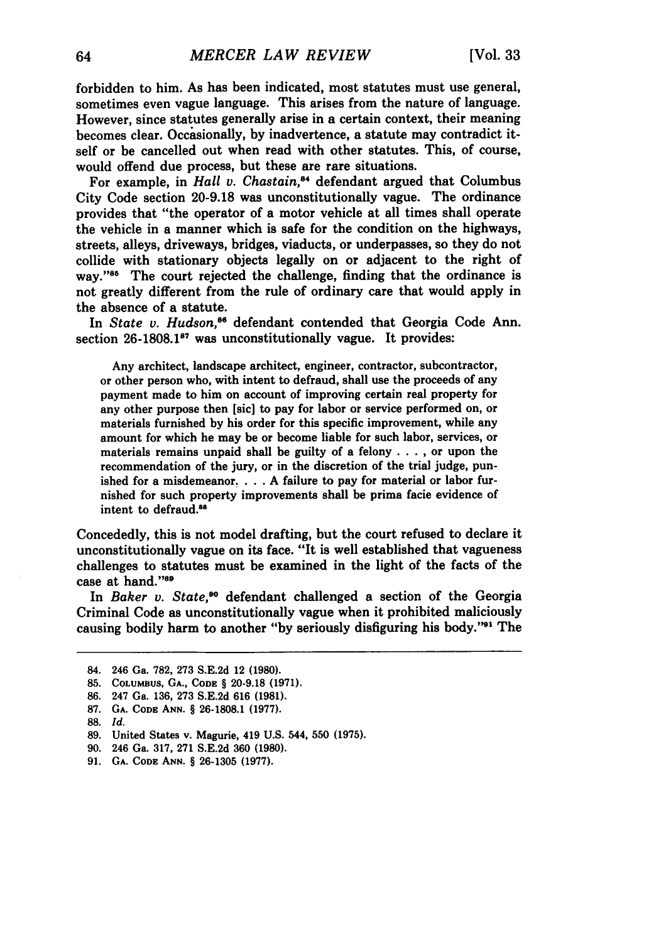forbidden to him. As has been indicated, most statutes must use general, sometimes even vague language. This arises from the nature of language. However, since statutes generally arise in a certain context, their meaning becomes clear. Occasionally, **by** inadvertence, a statute may contradict itself or be cancelled out when read with other statutes. This, of course, would offend due process, but these are rare situations.

For example, in *Hall v. Chastain*,<sup>84</sup> defendant argued that Columbus City Code section **20-9.18** was unconstitutionally vague. The ordinance provides that "the operator of a motor vehicle at all times shall operate the vehicle in a manner which is safe for the condition on the highways, streets, alleys, driveways, bridges, viaducts, or underpasses, so they do not collide with stationary objects legally on or adjacent to the right of way."<sup>55</sup> The court rejected the challenge, finding that the ordinance is not greatly different from the rule of ordinary care that would apply in the absence of a statute.

In *State v. Hudson*.<sup>86</sup> defendant contended that Georgia Code Ann. section 26-1808.1<sup>87</sup> was unconstitutionally vague. It provides:

Any architect, landscape architect, engineer, contractor, subcontractor, or other person who, with intent to defraud, shall use the proceeds of any payment made to him on account of improving certain real property for any other purpose then [sic] to pay for labor or service performed on, or materials furnished **by** his order for this specific improvement, while any amount for which he may be or become liable for such labor, services, or materials remains unpaid shall be guilty of a felony . **. . ,** or upon the recommendation of the jury, or in the discretion of the trial judge, punished for a misdemeanor **.... A** failure to pay for material or labor furnished for such property improvements shall be prima facie evidence of intent to defraud.<sup>88</sup>

Concededly, this is not model drafting, but the court refused to declare it unconstitutionally vague on its face. "It is well established that vagueness challenges to statutes must be examined in the light of the facts of the case at hand."89

In Baker v. *State,'0* defendant challenged a section of the Georgia Criminal Code as unconstitutionally vague when it prohibited maliciously causing bodily harm to another "by seriously disfiguring his body."<sup>91</sup> The

<sup>84. 246</sup> Ga. **782, 273 S.E.2d** 12 **(1980).**

**<sup>85.</sup>** COLuMBus, **GA., CODE** § **20-9.18 (1971).**

**<sup>86.</sup>** 247 Ga. **136, 273 S.E.2d 616 (1981).**

**<sup>87.</sup> GA. CODE ANN.** § **26-1808.1 (1977).**

<sup>88.</sup> *Id.*

<sup>89.</sup> United States v. Magurie, 419 U.S. 544, 550 (1975).

<sup>90. 246</sup> Ga. 317, 271 S.E.2d 360 (1980).

<sup>91.</sup> **GA. CODE ANN.** § 26-1305 (1977).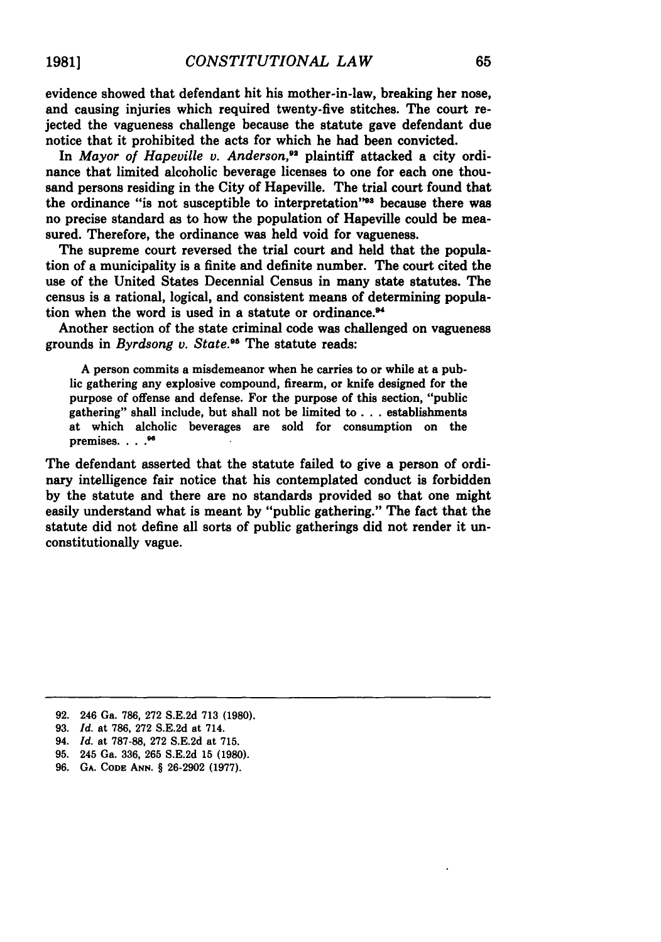evidence showed that defendant hit his mother-in-law, breaking her nose, and causing injuries which required twenty-five stitches. The court rejected the vagueness challenge because the statute gave defendant due notice that it prohibited the acts for which he had been convicted.

In *Mayor of Hapeville v. Anderson*.<sup>92</sup> plaintiff attacked a city ordinance that limited alcoholic beverage licenses to one for each one thousand persons residing in the City of Hapeville. The trial court found that the ordinance "is not susceptible to interpretation"<sup>38</sup> because there was no precise standard as to how the population of Hapeville could be measured. Therefore, the ordinance was held void for vagueness.

The supreme court reversed the trial court and held that the population of a municipality is a finite and definite number. The court cited the use of the United States Decennial Census in many state statutes. The census is a rational, logical, and consistent means of determining population when the word is used in a statute or ordinance.<sup>94</sup>

Another section of the state criminal code was challenged on vagueness grounds in *Byrdsong v. State."* The statute reads:

**A** person commits a misdemeanor when he carries to or while at a public gathering any explosive compound, firearm, or knife designed for the purpose of offense and defense. For the purpose of this section, "public gathering" shall include, but shall not be limited to **...** establishments at which alcholic beverages are sold for consumption on the premises. . . . 96

The defendant asserted that the statute failed to give a person of ordinary intelligence fair notice that his contemplated conduct is forbidden **by** the statute and there are no standards provided so that one might easily understand what is meant **by** "public gathering." The fact that the statute did not define all sorts of public gatherings did not render it unconstitutionally vague.

**<sup>92.</sup>** 246 Ga. **786, 272 S.E.2d 713 (1980).**

**<sup>93.</sup>** *Id.* at **786, 272 S.E.2d** at 714.

<sup>94.</sup> *Id.* at **787-88, 272 S.E.2d** at **715.**

**<sup>95.</sup>** 245 Ga. **336, 265 S.E.2d 15 (1980).**

**<sup>96.</sup> GA. CODE ANN.** § **26-2902 (1977).**